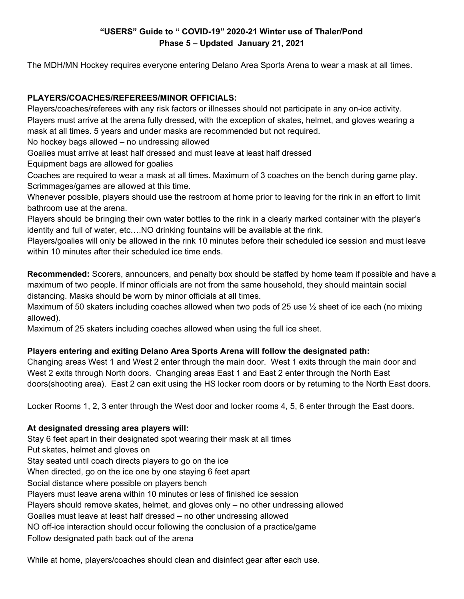# **"USERS" Guide to " COVID-19" 2020-21 Winter use of Thaler/Pond Phase 5 – Updated January 21, 2021**

The MDH/MN Hockey requires everyone entering Delano Area Sports Arena to wear a mask at all times.

# **PLAYERS/COACHES/REFEREES/MINOR OFFICIALS:**

Players/coaches/referees with any risk factors or illnesses should not participate in any on-ice activity. Players must arrive at the arena fully dressed, with the exception of skates, helmet, and gloves wearing a mask at all times. 5 years and under masks are recommended but not required.

No hockey bags allowed – no undressing allowed

Goalies must arrive at least half dressed and must leave at least half dressed

Equipment bags are allowed for goalies

Coaches are required to wear a mask at all times. Maximum of 3 coaches on the bench during game play. Scrimmages/games are allowed at this time.

Whenever possible, players should use the restroom at home prior to leaving for the rink in an effort to limit bathroom use at the arena.

Players should be bringing their own water bottles to the rink in a clearly marked container with the player's identity and full of water, etc….NO drinking fountains will be available at the rink.

Players/goalies will only be allowed in the rink 10 minutes before their scheduled ice session and must leave within 10 minutes after their scheduled ice time ends.

**Recommended:** Scorers, announcers, and penalty box should be staffed by home team if possible and have a maximum of two people. If minor officials are not from the same household, they should maintain social distancing. Masks should be worn by minor officials at all times.

Maximum of 50 skaters including coaches allowed when two pods of 25 use ½ sheet of ice each (no mixing allowed).

Maximum of 25 skaters including coaches allowed when using the full ice sheet.

## **Players entering and exiting Delano Area Sports Arena will follow the designated path:**

Changing areas West 1 and West 2 enter through the main door. West 1 exits through the main door and West 2 exits through North doors. Changing areas East 1 and East 2 enter through the North East doors(shooting area). East 2 can exit using the HS locker room doors or by returning to the North East doors.

Locker Rooms 1, 2, 3 enter through the West door and locker rooms 4, 5, 6 enter through the East doors.

## **At designated dressing area players will:**

Stay 6 feet apart in their designated spot wearing their mask at all times Put skates, helmet and gloves on Stay seated until coach directs players to go on the ice When directed, go on the ice one by one staying 6 feet apart Social distance where possible on players bench Players must leave arena within 10 minutes or less of finished ice session Players should remove skates, helmet, and gloves only – no other undressing allowed Goalies must leave at least half dressed – no other undressing allowed NO off-ice interaction should occur following the conclusion of a practice/game Follow designated path back out of the arena

While at home, players/coaches should clean and disinfect gear after each use.